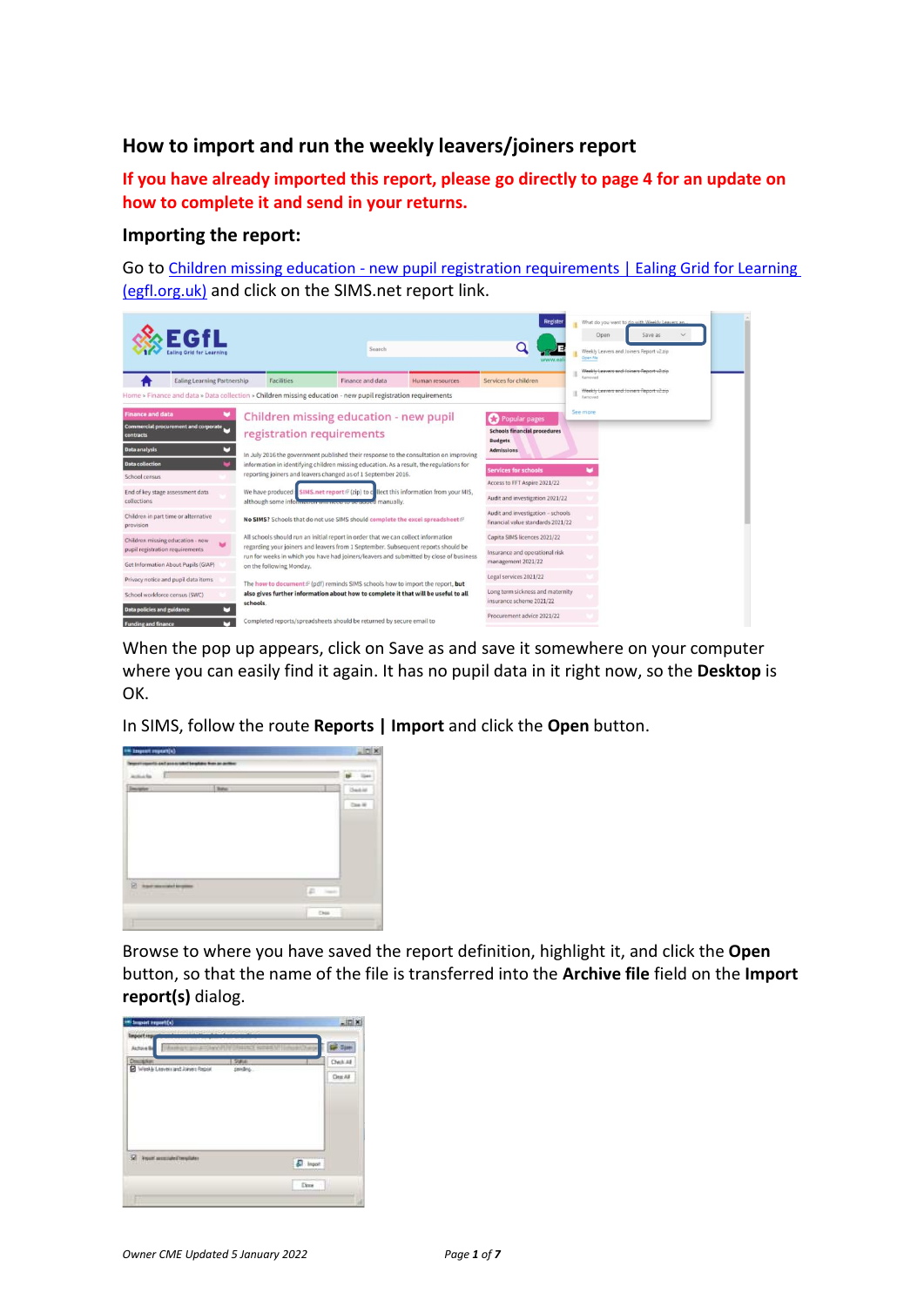## **How to import and run the weekly leavers/joiners report**

**If you have already imported this report, please go directly to page 4 for an update on how to complete it and send in your returns.**

## **Importing the report:**

Go to Children missing education - [new pupil registration requirements | Ealing Grid for Learning](https://www.egfl.org.uk/finance-and-data/data-collection/children-missing-education-new-pupil-registration-requirements)  [\(egfl.org.uk\)](https://www.egfl.org.uk/finance-and-data/data-collection/children-missing-education-new-pupil-registration-requirements) and click on the SIMS.net report link.



When the pop up appears, click on Save as and save it somewhere on your computer where you can easily find it again. It has no pupil data in it right now, so the **Desktop** is OK.

In SIMS, follow the route **Reports | Import** and click the **Open** button.



Browse to where you have saved the report definition, highlight it, and click the **Open**  button, so that the name of the file is transferred into the **Archive file** field on the **Import report(s)** dialog.

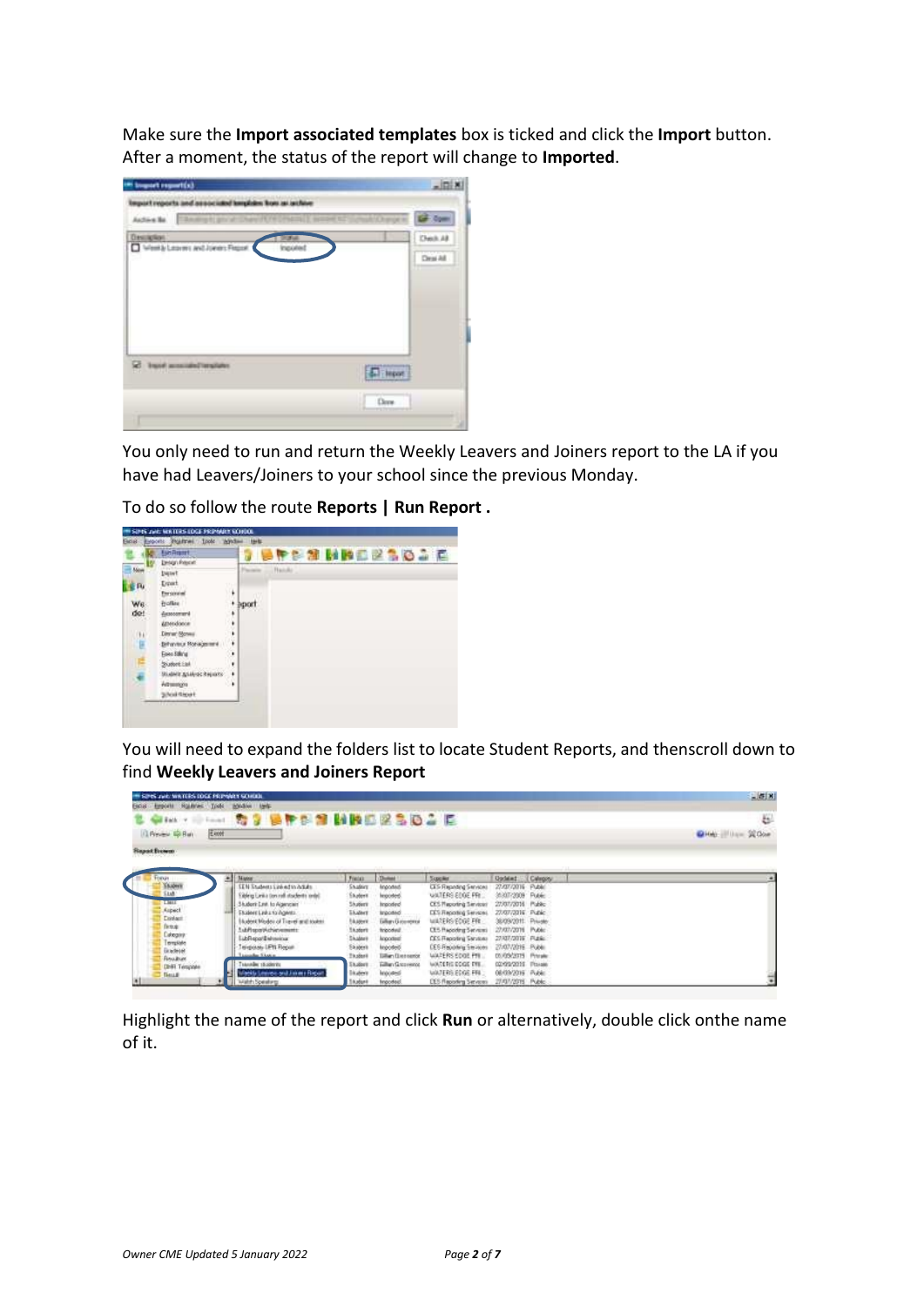Make sure the **Import associated templates** box is ticked and click the **Import** button. After a moment, the status of the report will change to **Imported**.

| <sup>(a)</sup> inquist report(s)                                     | $\frac{1}{2}$    |
|----------------------------------------------------------------------|------------------|
| Import reports and associated templates from an action<br>Autora No. | <b>GF</b> Open   |
| Day allow<br>22.0<br>Weekly Learns and Jones Fege<br>Inputed         | Check AB         |
|                                                                      | Drai All         |
|                                                                      |                  |
|                                                                      |                  |
|                                                                      |                  |
| restant passage from 150                                             | $\sqrt{2}$ input |
|                                                                      | Dere             |
|                                                                      |                  |

You only need to run and return the Weekly Leavers and Joiners report to the LA if you have had Leavers/Joiners to your school since the previous Monday.

To do so follow the route **Reports | Run Report .**



You will need to expand the folders list to locate Student Reports, and thenscroll down to find **Weekly Leavers and Joiners Report**

| <b>IN SIZES JOEL WATERS LOCK FRIPARTY SCHOOL</b> |       |                                           |                |                           |                               |                    |          | 二菱図                     |
|--------------------------------------------------|-------|-------------------------------------------|----------------|---------------------------|-------------------------------|--------------------|----------|-------------------------|
| Gold Exports Holdway Tools Holdwi tests          |       |                                           |                |                           |                               |                    |          |                         |
| al Early 19                                      | Final | <b>37 SPES NBEESDAE</b>                   |                |                           |                               |                    |          | B                       |
| L'Emmy 42 Bar                                    | Ekott |                                           |                |                           |                               |                    |          | <b>Gira</b> : Use SCore |
| <b>Report Economy</b>                            |       |                                           |                |                           |                               |                    |          |                         |
|                                                  |       |                                           |                |                           |                               |                    |          |                         |
|                                                  |       | <b>Manuel</b>                             | Field:         | Donald                    | <b>Supplier</b>               | <b>Undated:</b>    | Calegory |                         |
| <b>SKANNY</b>                                    |       | EEN Students Link ed to Adults            | <b>SAUGHEE</b> | knooned                   | <b>CES Reporting Services</b> | 27.07/2016 Public  |          |                         |
|                                                  |       | able a thed with flore roll of a relation | Skylern        | legosted.                 | WATERS EDGE PR.               | 31307-2009         | Reic     |                         |
| LIBIL                                            |       | 3 Iudent Cash to Agencien'                | Shuttern       | Insoded                   | CES Placenting Services       | 27.07/2016 Public  |          |                         |
| Aspect.<br>Dishart:                              |       | Elsabert Ledux for Agents.                | <b>Eludert</b> | <b>Imported</b>           | DES Fingering Services.       | 27/07/2016 Public  |          |                         |
| fictual:                                         |       | I tubert Medei of Travel and room.        | EAuper         | Eithers El abovement      | WATERS EDGE FRE.              | 36/09/2011 Private |          |                         |
| Cakegory.                                        |       | atempted at a file.                       | <b>Skudort</b> | finipipaling              | CES Praceding Services)       | 27/07/2016 Public  |          |                         |
| <b>Brustee</b>                                   |       | <b>LibRecord Memorial</b>                 | <b>Skalent</b> | knootest                  | <b>CES Flepoting Services</b> | 27/07/2016 PLAN:   |          |                         |
| Владеле                                          |       | Inigialas LPR Repair                      | Skateri        | keyydeb.                  | <b>CES Reporting Services</b> | 27:07/2016 Public  |          |                         |
| <b>Resultant</b>                                 |       | Traveller Storie                          | <b>Thubert</b> | <b>Sillar: Distressor</b> | WATERS EDGE PM.               | 09/05/2015         | Printake |                         |
| DMI Template                                     |       | Transder (Edderit)                        | <b>Eluders</b> | Fallian Grosswood         | WATERS DOOR THE               | 02/09/2010         | Pisson   |                         |
| <b>Tenant</b>                                    |       | <b>Mackta Lewisco and Johney Rights</b>   | <b>Lister</b>  | <b>Internet</b>           | WATERS EDGE FRI               | 08/09/2016 Public  |          |                         |
|                                                  |       | Webh Speaking                             | 16.dark        | financieral.              | EES Flaggoling Services       | 27/07/2015 Public  |          |                         |

Highlight the name of the report and click **Run** or alternatively, double click onthe name of it.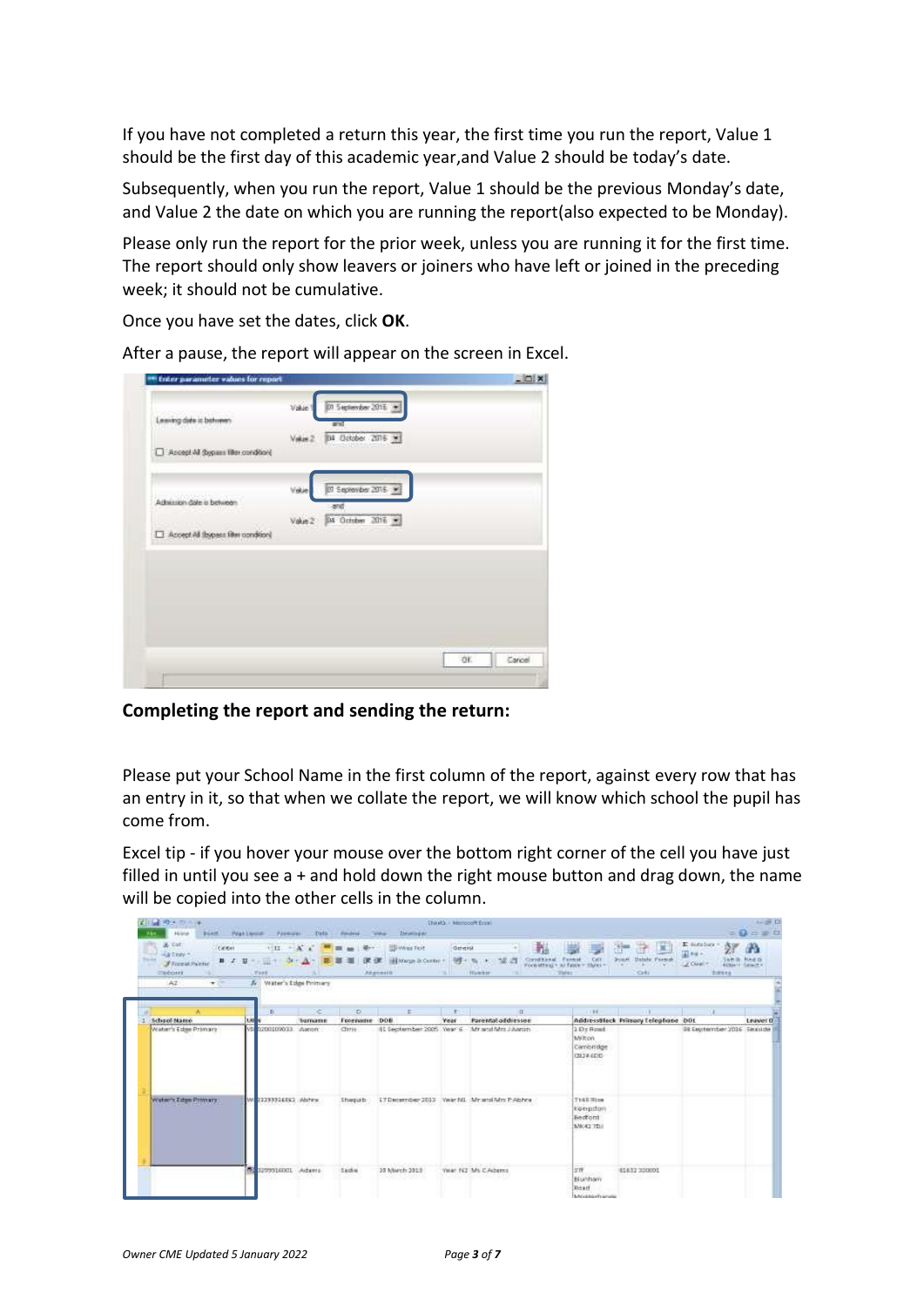If you have not completed a return this year, the first time you run the report, Value 1 should be the first day of this academic year,and Value 2 should be today's date.

Subsequently, when you run the report, Value 1 should be the previous Monday's date, and Value 2 the date on which you are running the report(also expected to be Monday).

Please only run the report for the prior week, unless you are running it for the first time. The report should only show leavers or joiners who have left or joined in the preceding week; it should not be cumulative.

Once you have set the dates, click **OK**.

|                                      | Value   | 015 epiember 2016        |     |        |
|--------------------------------------|---------|--------------------------|-----|--------|
| Leaving date in between              |         | and a                    |     |        |
|                                      | Value 2 | B4 Dolpher 2016 W        |     |        |
| Accept All Sypans like condition     |         |                          |     |        |
|                                      |         |                          |     |        |
| Admission date is between            | Vikie   | [17 September 2016   9]  |     |        |
|                                      | Value 2 | and<br>DA October 2016 W |     |        |
| Accept All (bypass filter condition) |         |                          |     |        |
|                                      |         |                          |     |        |
|                                      |         |                          |     |        |
|                                      |         |                          |     |        |
|                                      |         |                          |     |        |
|                                      |         |                          |     |        |
|                                      |         |                          |     |        |
|                                      |         |                          |     |        |
|                                      |         |                          | OE. | Carcel |

After a pause, the report will appear on the screen in Excel.

## **Completing the report and sending the return:**

Please put your School Name in the first column of the report, against every row that has an entry in it, so that when we collate the report, we will know which school the pupil has come from.

Excel tip - if you hover your mouse over the bottom right corner of the cell you have just filled in until you see a + and hold down the right mouse button and drag down, the name will be copied into the other cells in the column.

| <b>No. 230</b><br>Holidan                                                           | <b>THE HINNESON CONTRACTOR</b><br>bunt Heatlands Formula: Data Finding |         |                     | <b>IMMILEN</b><br><b>COMPANY</b>                            | Third's - himnocoft firms |                                                                                             |                                                             |                                                            |                                                                                         | 4.807<br>$= 0 = x$  |
|-------------------------------------------------------------------------------------|------------------------------------------------------------------------|---------|---------------------|-------------------------------------------------------------|---------------------------|---------------------------------------------------------------------------------------------|-------------------------------------------------------------|------------------------------------------------------------|-----------------------------------------------------------------------------------------|---------------------|
| & Cat.<br>Center<br>Automotive<br><b>Tarday</b><br><b>Flumid Painter</b><br>EXPOSIS | $11 - A$<br>■ イ 田 一 田 十<br>Fret.                                       |         | $\rightarrow$<br>课课 | <b>Contract Fest</b><br>Hill Marge D. Castler +<br>Akgemitt | Geleral<br>The Howest     | 導き<br>Conditional Permit Cell<br>Pocketting's at fasce - States -<br><b>CONTRACTOR</b><br>m |                                                             | œ<br>æ.<br>e.<br>Fourt, Diddy Forsal<br>$-0.01$            | <b>K</b> sistable<br>žУ<br>When<br>5 年齢/数<br>CZ CHWIT<br><b>FORFIT GRACER</b><br>Trenes | æ<br><b>New its</b> |
| $-42$<br>$\mathbf{v}$<br>m                                                          | A. Water's Edge Primary                                                |         |                     |                                                             |                           |                                                                                             |                                                             |                                                            |                                                                                         |                     |
|                                                                                     | п                                                                      | ×       | D.                  | $\mathbb{R}^2$                                              |                           | $\alpha$                                                                                    | 1184                                                        | $\Box$                                                     | - 1                                                                                     |                     |
| School Name                                                                         | Lk0                                                                    | Sumanne | Forename            | DOB                                                         | <b>Year</b>               | Parental addressee                                                                          |                                                             | AddressBlack PrimaryTelephone DOL                          |                                                                                         | Leaver <sup>O</sup> |
| Water's Edge Primary                                                                | V9 0200109033 Award                                                    |         | Chris:              |                                                             |                           | 61 September 2005, Year 6 Min and Mrs J Awan                                                | $2.01$ Fmal<br>Milton<br>Cambridge<br>(3134.62)<br>wez      |                                                            | 09 Eautomber 2016 Feauto                                                                |                     |
| Water's Edge Primary                                                                | WI 22233326E62 Abres                                                   |         | <b>Shirquiti</b>    |                                                             |                           | L'Oscarnber 2022 Vale NL Mr and Mm P.Abhne                                                  | <b>THEERIN</b><br>kiperpstori<br><b>Bedford</b><br>MORE TER |                                                            |                                                                                         |                     |
|                                                                                     | <b>All reproduced Adams</b>                                            |         | Sacke.              | 33 March 3013                                               |                           | in Mark Hingdob Mode<br>Year N2 Ms CAdams<br>deomatos                                       | 工作<br>Blunham.<br><b>Doutf</b><br><b>Linguistic Francis</b> | control in the control is a<br>81832 320001<br>#2007201111 |                                                                                         |                     |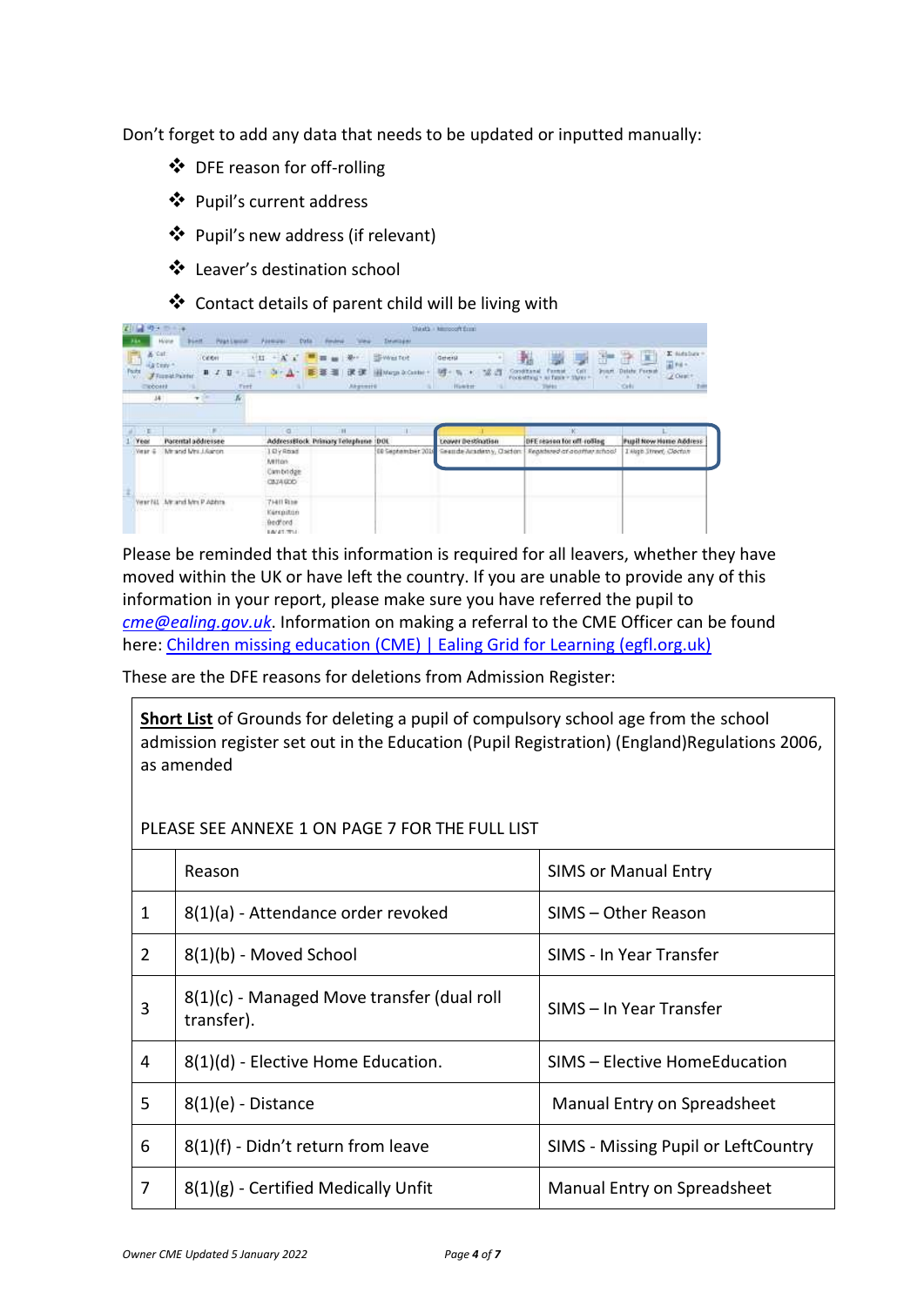Don't forget to add any data that needs to be updated or inputted manually:

- ❖ DFE reason for off-rolling
- ❖ Pupil's current address
- ❖ Pupil's new address (if relevant)
- ❖ Leaver's destination school
- ❖ Contact details of parent child will be living with

| MS-3                          | $D + 14$<br><b>DECISION AND A</b><br><b>HATEL</b><br>Holte.<br>Praktieva:<br><b>BGAIL</b>          | Paemaren<br><b>Data</b>                               |                 | <b>ZMWIDER</b>                               | thirds - tempoort from                            |                                                                                |                                                                                                          |
|-------------------------------|----------------------------------------------------------------------------------------------------|-------------------------------------------------------|-----------------|----------------------------------------------|---------------------------------------------------|--------------------------------------------------------------------------------|----------------------------------------------------------------------------------------------------------|
| & Cat.<br>Party<br>EXPOSIS    | .<br>Celen<br><b>LECTIFIC</b><br>$H$ $I$<br>u<br><b>FFISHM Painter</b><br>Tett<br>14<br>K.<br>$+1$ | $\frac{1}{2}$<br>A <sub>1</sub><br>FIII-T             | 课 课<br>Atgement | <b>SEWester</b><br>Marco Dr.Catchel<br>9. II | playing state<br>Geleral<br>Pocketting<br>History | 곱<br>Call<br><b>Printer</b><br><b>TRID</b><br>ai fasik<br><b>Viures</b><br>TMH | E sistaban<br>音圖<br>$\overline{A}$ Fig. -<br>Didate Format<br>(ZOrace)<br>٠<br><b>COM</b><br>Colli<br>74 |
| $\mathbb{R}^n$<br><b>Year</b> | 550<br>Parental addressee                                                                          | a<br>AddressBlock Primary Telephone (DOL)             | и               |                                              | Leaver Destination                                | (K)<br>DFE reason for off-rolling                                              | <b>Pupil Now Home Address</b>                                                                            |
| Veur &                        | Mirand Mrs.J.Aaron.                                                                                | IElyRoad<br>Milton.<br>Cambridge<br>CBJA GOD          |                 | 00 September 20b                             | Seattde Attademy, Oaclon                          | Registered at a pathwy tahoo!                                                  | Likep Street, Clochut                                                                                    |
|                               | <b>ARANGEMENT IN THE TABLE</b><br>Veschild, Minand Mrs P Abhra                                     | 71411 Rtne<br>Kenpiton<br>Bedford<br><b>EA/41/7/1</b> |                 |                                              |                                                   |                                                                                |                                                                                                          |

Please be reminded that this information is required for all leavers, whether they have moved within the UK or have left the country. If you are unable to provide any of this information in your report, please make sure you have referred the pupil to *[cme@ealing.gov.uk](mailto:cme@ealing.gov.uk)*. Information on making a referral to the CME Officer can be found here: [Children missing education \(CME\) | Ealing Grid for Learning \(egfl.org.uk\)](https://www.egfl.org.uk/services-children/children-missing-education-cme)

These are the DFE reasons for deletions from Admission Register:

**Short List** of Grounds for deleting a pupil of compulsory school age from the school admission register set out in the Education (Pupil Registration) (England)Regulations 2006, as amended

PLEASE SEE ANNEXE 1 ON PAGE 7 FOR THE FULL LIST

|                | Reason                                                   | <b>SIMS or Manual Entry</b>         |
|----------------|----------------------------------------------------------|-------------------------------------|
| 1              | 8(1)(a) - Attendance order revoked                       | SIMS - Other Reason                 |
| $\overline{2}$ | 8(1)(b) - Moved School                                   | SIMS - In Year Transfer             |
| 3              | 8(1)(c) - Managed Move transfer (dual roll<br>transfer). | SIMS – In Year Transfer             |
| 4              | $8(1)(d)$ - Elective Home Education.                     | SIMS - Elective HomeEducation       |
| 5              | $8(1)(e)$ - Distance                                     | Manual Entry on Spreadsheet         |
| 6              | 8(1)(f) - Didn't return from leave                       | SIMS - Missing Pupil or LeftCountry |
| 7              | 8(1)(g) - Certified Medically Unfit                      | Manual Entry on Spreadsheet         |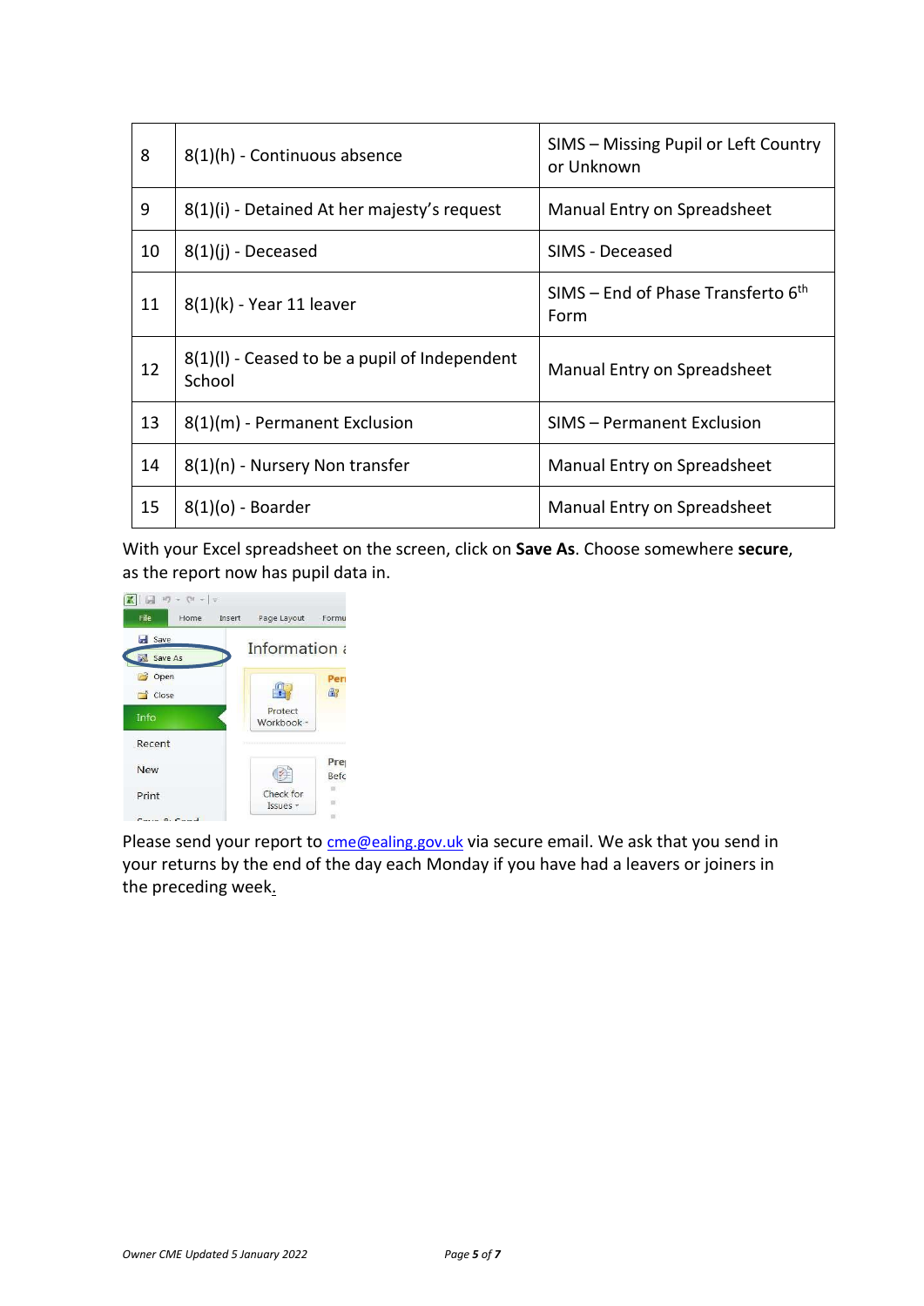| 8  | 8(1)(h) - Continuous absence                              | SIMS - Missing Pupil or Left Country<br>or Unknown |
|----|-----------------------------------------------------------|----------------------------------------------------|
| 9  | 8(1)(i) - Detained At her majesty's request               | Manual Entry on Spreadsheet                        |
| 10 | $8(1)(i)$ - Deceased                                      | SIMS - Deceased                                    |
| 11 | $8(1)(k)$ - Year 11 leaver                                | SIMS – End of Phase Transferto $6th$<br>Form       |
| 12 | $8(1)(I)$ - Ceased to be a pupil of Independent<br>School | Manual Entry on Spreadsheet                        |
| 13 | 8(1)(m) - Permanent Exclusion                             | SIMS - Permanent Exclusion                         |
| 14 | 8(1)(n) - Nursery Non transfer                            | Manual Entry on Spreadsheet                        |
| 15 | $8(1)(o)$ - Boarder                                       | Manual Entry on Spreadsheet                        |

With your Excel spreadsheet on the screen, click on **Save As**. Choose somewhere **secure**, as the report now has pupil data in.



Please send your report to [cme@ealing.gov.uk](mailto:cme@ealing.gov.uk) via secure email. We ask that you send in your returns by the end of the day each Monday if you have had a leavers or joiners in the preceding week.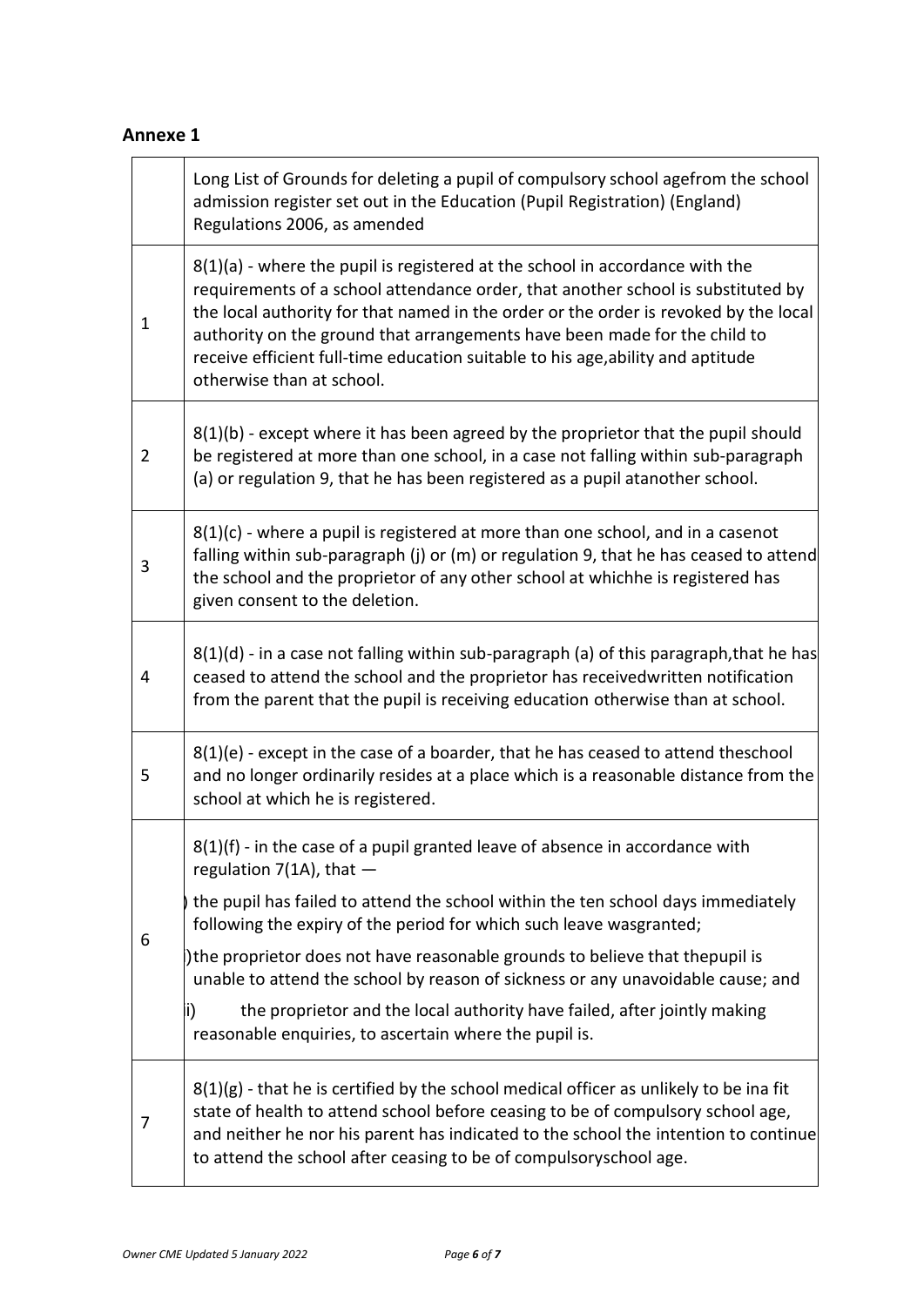## **Annexe 1**

|                | Long List of Grounds for deleting a pupil of compulsory school agefrom the school<br>admission register set out in the Education (Pupil Registration) (England)<br>Regulations 2006, as amended                                                                                                                                                                                                                                                       |
|----------------|-------------------------------------------------------------------------------------------------------------------------------------------------------------------------------------------------------------------------------------------------------------------------------------------------------------------------------------------------------------------------------------------------------------------------------------------------------|
| 1              | 8(1)(a) - where the pupil is registered at the school in accordance with the<br>requirements of a school attendance order, that another school is substituted by<br>the local authority for that named in the order or the order is revoked by the local<br>authority on the ground that arrangements have been made for the child to<br>receive efficient full-time education suitable to his age, ability and aptitude<br>otherwise than at school. |
| $\overline{2}$ | 8(1)(b) - except where it has been agreed by the proprietor that the pupil should<br>be registered at more than one school, in a case not falling within sub-paragraph<br>(a) or regulation 9, that he has been registered as a pupil atanother school.                                                                                                                                                                                               |
| 3              | $8(1)(c)$ - where a pupil is registered at more than one school, and in a casenot<br>falling within sub-paragraph (j) or (m) or regulation 9, that he has ceased to attend<br>the school and the proprietor of any other school at whichhe is registered has<br>given consent to the deletion.                                                                                                                                                        |
| 4              | $8(1)(d)$ - in a case not falling within sub-paragraph (a) of this paragraph, that he has<br>ceased to attend the school and the proprietor has receivedwritten notification<br>from the parent that the pupil is receiving education otherwise than at school.                                                                                                                                                                                       |
| 5              | 8(1)(e) - except in the case of a boarder, that he has ceased to attend theschool<br>and no longer ordinarily resides at a place which is a reasonable distance from the<br>school at which he is registered.                                                                                                                                                                                                                                         |
|                | $8(1)(f)$ - in the case of a pupil granted leave of absence in accordance with<br>regulation $7(1A)$ , that $-$                                                                                                                                                                                                                                                                                                                                       |
| 6              | the pupil has failed to attend the school within the ten school days immediately<br>following the expiry of the period for which such leave wasgranted;                                                                                                                                                                                                                                                                                               |
|                | ) the proprietor does not have reasonable grounds to believe that thepupil is<br>unable to attend the school by reason of sickness or any unavoidable cause; and                                                                                                                                                                                                                                                                                      |
|                | the proprietor and the local authority have failed, after jointly making<br>li)<br>reasonable enquiries, to ascertain where the pupil is.                                                                                                                                                                                                                                                                                                             |
| 7              | $8(1)(g)$ - that he is certified by the school medical officer as unlikely to be ina fit<br>state of health to attend school before ceasing to be of compulsory school age,<br>and neither he nor his parent has indicated to the school the intention to continue<br>to attend the school after ceasing to be of compulsoryschool age.                                                                                                               |